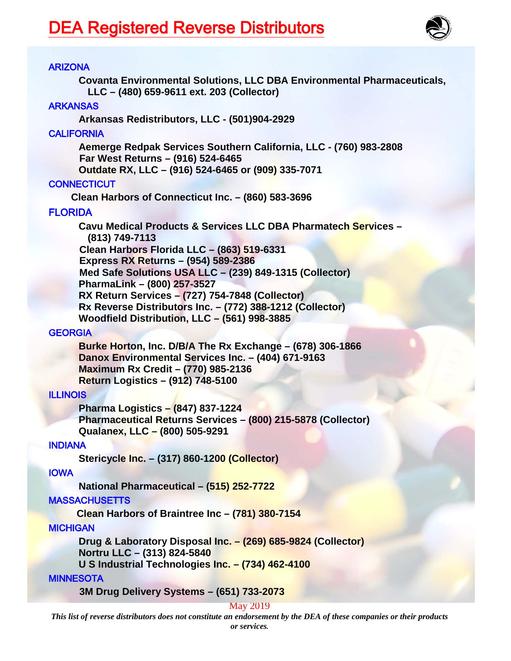

# ARIZONA

**Covanta Environmental Solutions, LLC DBA Environmental Pharmaceuticals, LLC – (480) 659-9611 ext. 203 (Collector)**

#### **ARKANSAS**

**Arkansas Redistributors, LLC - (501)904-2929**

## **CALIFORNIA**

**Aemerge Redpak Services Southern California, LLC - (760) 983-2808 Far West Returns – (916) 524-6465 Outdate RX, LLC – (916) 524-6465 or (909) 335-7071**

# **CONNECTICUT**

**Clean Harbors of Connecticut Inc. – (860) 583-3696** 

# FLORIDA

**Cavu Medical Products & Services LLC DBA Pharmatech Services – (813) 749-7113 Clean Harbors Florida LLC – (863) 519-6331 Express RX Returns – (954) 589-2386 Med Safe Solutions USA LLC – (239) 849-1315 (Collector) PharmaLink – (800) 257-3527 RX Return Services – (727) 754-7848 (Collector) Rx Reverse Distributors Inc. – (772) 388-1212 (Collector) Woodfield Distribution, LLC – (561) 998-3885**

## **GEORGIA**

**Burke Horton, Inc. D/B/A The Rx Exchange – (678) 306-1866 Danox Environmental Services Inc. – (404) 671-9163 Maximum Rx Credit – (770) 985-2136 Return Logistics – (912) 748-5100**

## ILLINOIS

**Pharma Logistics – (847) 837-1224 Pharmaceutical Returns Services – (800) 215-5878 (Collector) Qualanex, LLC – (800) 505-9291**

## INDIANA

**Stericycle Inc. – (317) 860-1200 (Collector)**

## IOWA

**National Pharmaceutical – (515) 252-7722**

## **MASSACHUSETTS**

**Clean Harbors of Braintree Inc – (781) 380-7154**

## **MICHIGAN**

**Drug & Laboratory Disposal Inc. – (269) 685-9824 (Collector) Nortru LLC – (313) 824-5840**

**U S Industrial Technologies Inc. – (734) 462-4100**

## **MINNESOTA**

 **3M Drug Delivery Systems – (651) 733-2073** 

## May 2019

*This list of reverse distributors does not constitute an endorsement by the DEA of these companies or their products or services.*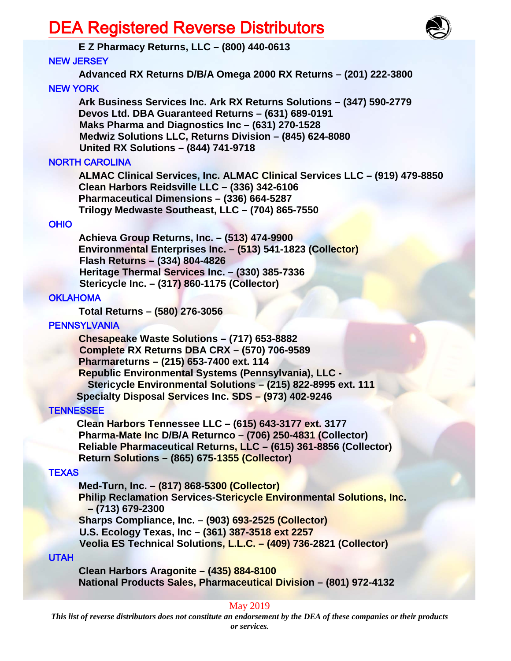# DEA Registered Reverse Distributors



# **E Z Pharmacy Returns, LLC – (800) 440-0613**

# NEW JERSEY

**Advanced RX Returns D/B/A Omega 2000 RX Returns – (201) 222-3800**

NEW YORK

**Ark Business Services Inc. Ark RX Returns Solutions – (347) 590-2779 Devos Ltd. DBA Guaranteed Returns – (631) 689-0191 Maks Pharma and Diagnostics Inc – (631) 270-1528 Medwiz Solutions LLC, Returns Division – (845) 624-8080 United RX Solutions – (844) 741-9718**

# NORTH CAROLINA

**ALMAC Clinical Services, Inc. ALMAC Clinical Services LLC – (919) 479-8850 Clean Harbors Reidsville LLC – (336) 342-6106 Pharmaceutical Dimensions – (336) 664-5287 Trilogy Medwaste Southeast, LLC – (704) 865-7550**

# OHIO

**Achieva Group Returns, Inc. – (513) 474-9900 Environmental Enterprises Inc. – (513) 541-1823 (Collector) Flash Returns – (334) 804-4826 Heritage Thermal Services Inc. – (330) 385-7336 Stericycle Inc. – (317) 860-1175 (Collector)**

# **OKLAHOMA**

**Total Returns – (580) 276-3056**

# **PENNSYLVANIA**

**Chesapeake Waste Solutions – (717) 653-8882 Complete RX Returns DBA CRX – (570) 706-9589 Pharmareturns – (215) 653-7400 ext. 114 Republic Environmental Systems (Pennsylvania), LLC - Stericycle Environmental Solutions – (215) 822-8995 ext. 111 Specialty Disposal Services Inc. SDS – (973) 402-9246**

# **TENNESSEE**

 **Clean Harbors Tennessee LLC – (615) 643-3177 ext. 3177 Pharma-Mate Inc D/B/A Returnco – (706) 250-4831 (Collector) Reliable Pharmaceutical Returns, LLC – (615) 361-8856 (Collector) Return Solutions – (865) 675-1355 (Collector)**

# **TEXAS**

**Med-Turn, Inc. – (817) 868-5300 (Collector) Philip Reclamation Services-Stericycle Environmental Solutions, Inc. – (713) 679-2300 Sharps Compliance, Inc. – (903) 693-2525 (Collector) U.S. Ecology Texas, Inc – (361) 387-3518 ext 2257 Veolia ES Technical Solutions, L.L.C. – (409) 736-2821 (Collector)**

## UTAH

**Clean Harbors Aragonite – (435) 884-8100 National Products Sales, Pharmaceutical Division – (801) 972-4132**

# May 2019

*This list of reverse distributors does not constitute an endorsement by the DEA of these companies or their products or services.*